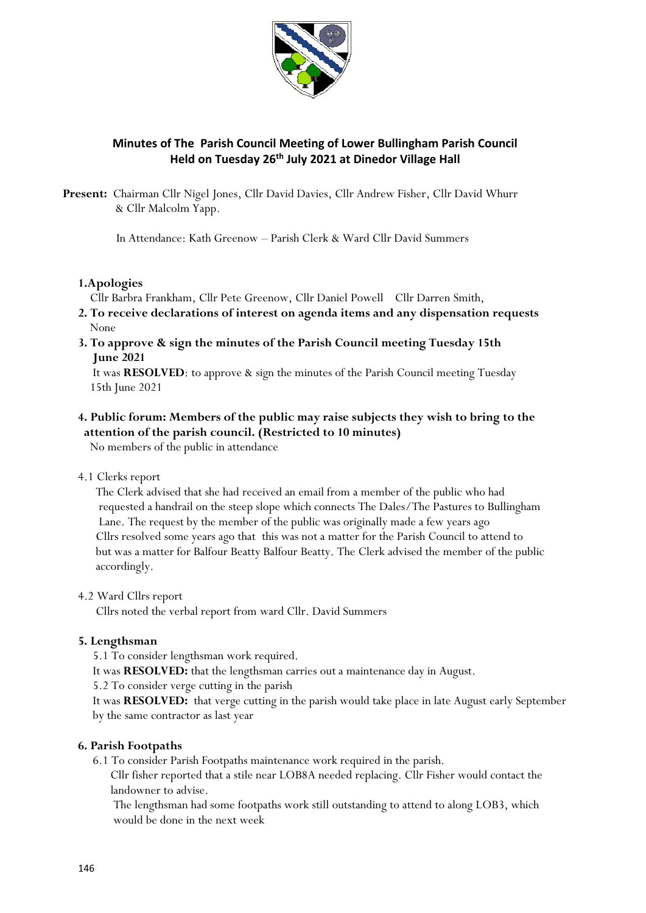

# **Minutes of The Parish Council Meeting of Lower Bullingham Parish Council Held on Tuesday 26th July 2021 at Dinedor Village Hall**

**Present:** Chairman Cllr Nigel Jones, Cllr David Davies, Cllr Andrew Fisher, Cllr David Whurr & Cllr Malcolm Yapp.

In Attendance: Kath Greenow – Parish Clerk & Ward Cllr David Summers

### **1.Apologies**

Cllr Barbra Frankham, Cllr Pete Greenow, Cllr Daniel Powell Cllr Darren Smith,

- **2. To receive declarations of interest on agenda items and any dispensation requests** None
- **3. To approve & sign the minutes of the Parish Council meeting Tuesday 15th June 2021**

 It was **RESOLVED**: to approve & sign the minutes of the Parish Council meeting Tuesday 15th June 2021

# **4. Public forum: Members of the public may raise subjects they wish to bring to the attention of the parish council. (Restricted to 10 minutes)**

No members of the public in attendance

4.1 Clerks report

 The Clerk advised that she had received an email from a member of the public who had requested a handrail on the steep slope which connects The Dales/The Pastures to Bullingham Lane. The request by the member of the public was originally made a few years ago Cllrs resolved some years ago that this was not a matter for the Parish Council to attend to but was a matter for Balfour Beatty Balfour Beatty. The Clerk advised the member of the public accordingly.

# 4.2 Ward Cllrs report

Cllrs noted the verbal report from ward Cllr. David Summers

### **5. Lengthsman**

5.1 To consider lengthsman work required.

It was **RESOLVED:** that the lengthsman carries out a maintenance day in August.

5.2 To consider verge cutting in the parish

 It was **RESOLVED:** that verge cutting in the parish would take place in late August early September by the same contractor as last year

# **6. Parish Footpaths**

6.1 To consider Parish Footpaths maintenance work required in the parish.

 Cllr fisher reported that a stile near LOB8A needed replacing. Cllr Fisher would contact the landowner to advise.

 The lengthsman had some footpaths work still outstanding to attend to along LOB3, which would be done in the next week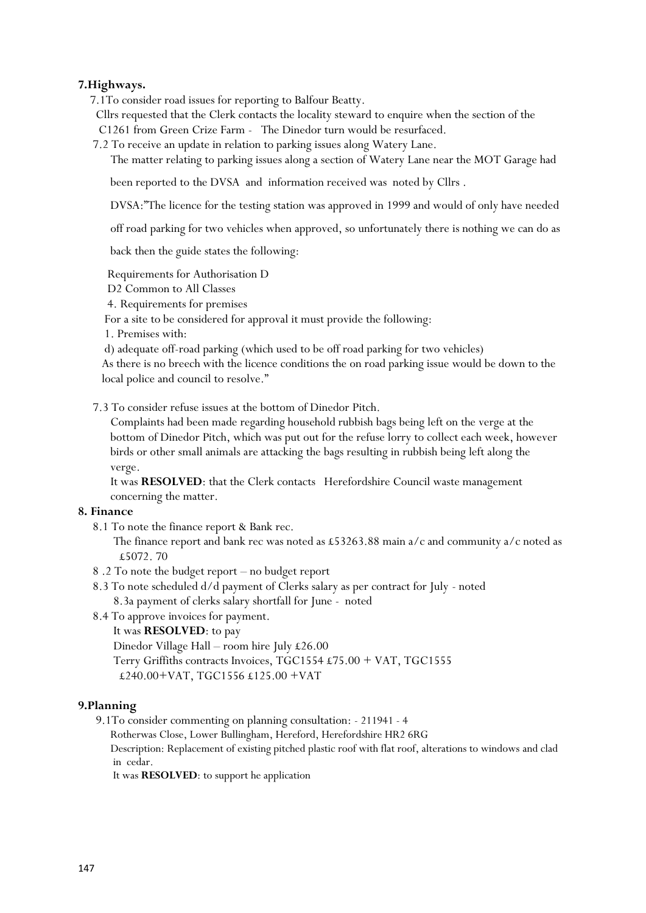### **7.Highways.**

7.1To consider road issues for reporting to Balfour Beatty.

 Cllrs requested that the Clerk contacts the locality steward to enquire when the section of the C1261 from Green Crize Farm - The Dinedor turn would be resurfaced.

7.2 To receive an update in relation to parking issues along Watery Lane.

The matter relating to parking issues along a section of Watery Lane near the MOT Garage had

been reported to the DVSA and information received was noted by Cllrs .

DVSA:"The licence for the testing station was approved in 1999 and would of only have needed

off road parking for two vehicles when approved, so unfortunately there is nothing we can do as

back then the guide states the following:

Requirements for Authorisation D

D2 Common to All Classes

4. Requirements for premises

For a site to be considered for approval it must provide the following:

1. Premises with:

 d) adequate off-road parking (which used to be off road parking for two vehicles) As there is no breech with the licence conditions the on road parking issue would be down to the local police and council to resolve."

7.3 To consider refuse issues at the bottom of Dinedor Pitch.

 Complaints had been made regarding household rubbish bags being left on the verge at the bottom of Dinedor Pitch, which was put out for the refuse lorry to collect each week, however birds or other small animals are attacking the bags resulting in rubbish being left along the verge.

 It was **RESOLVED**: that the Clerk contacts Herefordshire Council waste management concerning the matter.

### **8. Finance**

8.1 To note the finance report & Bank rec.

The finance report and bank rec was noted as £53263.88 main  $a/c$  and community  $a/c$  noted as £5072.70

- 8 .2 To note the budget report no budget report
- 8.3 To note scheduled d/d payment of Clerks salary as per contract for July noted 8.3a payment of clerks salary shortfall for June - noted
- 8.4 To approve invoices for payment.

#### It was **RESOLVED**: to pay

 Dinedor Village Hall – room hire July £26.00 Terry Griffiths contracts Invoices, TGC1554 £75.00 + VAT, TGC1555

### £240.00+VAT, TGC1556 £125.00 +VAT

#### **9.Planning**

9.1To consider commenting on planning consultation: - 211941 - 4

Rotherwas Close, Lower Bullingham, Hereford, Herefordshire HR2 6RG

 Description: Replacement of existing pitched plastic roof with flat roof, alterations to windows and clad in cedar.

It was **RESOLVED**: to support he application